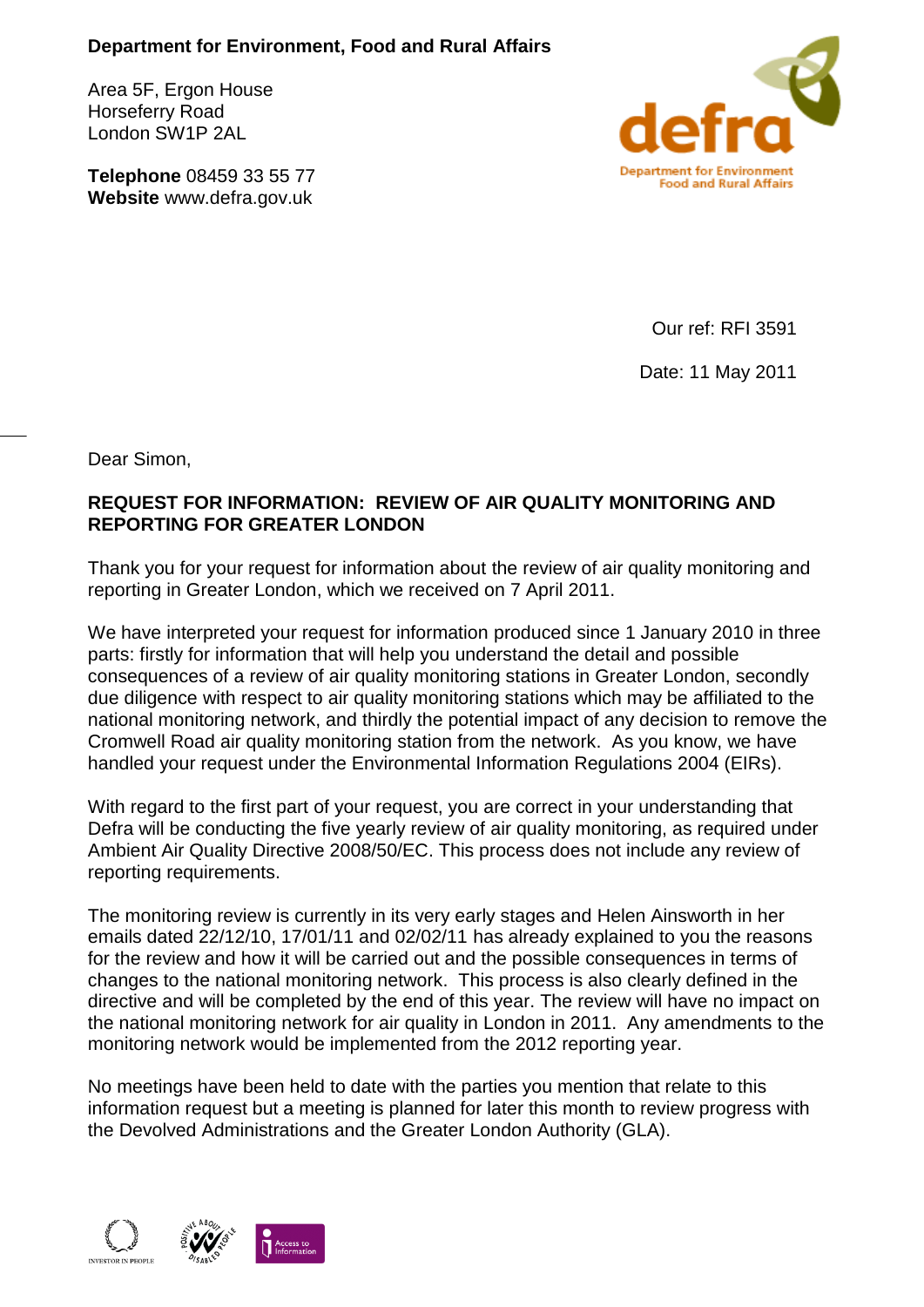## **Department for Environment, Food and Rural Affairs**

Area 5F, Ergon House Horseferry Road London SW1P 2AL

**Telephone** 08459 33 55 77 **Website** www.defra.gov.uk



Our ref: RFI 3591

Date: 11 May 2011

Dear Simon,

## **REQUEST FOR INFORMATION: REVIEW OF AIR QUALITY MONITORING AND REPORTING FOR GREATER LONDON**

Thank you for your request for information about the review of air quality monitoring and reporting in Greater London, which we received on 7 April 2011.

We have interpreted your request for information produced since 1 January 2010 in three parts: firstly for information that will help you understand the detail and possible consequences of a review of air quality monitoring stations in Greater London, secondly due diligence with respect to air quality monitoring stations which may be affiliated to the national monitoring network, and thirdly the potential impact of any decision to remove the Cromwell Road air quality monitoring station from the network. As you know, we have handled your request under the Environmental Information Regulations 2004 (EIRs).

With regard to the first part of your request, you are correct in your understanding that Defra will be conducting the five yearly review of air quality monitoring, as required under Ambient Air Quality Directive 2008/50/EC. This process does not include any review of reporting requirements.

The monitoring review is currently in its very early stages and Helen Ainsworth in her emails dated 22/12/10, 17/01/11 and 02/02/11 has already explained to you the reasons for the review and how it will be carried out and the possible consequences in terms of changes to the national monitoring network. This process is also clearly defined in the directive and will be completed by the end of this year. The review will have no impact on the national monitoring network for air quality in London in 2011. Any amendments to the monitoring network would be implemented from the 2012 reporting year.

No meetings have been held to date with the parties you mention that relate to this information request but a meeting is planned for later this month to review progress with the Devolved Administrations and the Greater London Authority (GLA).

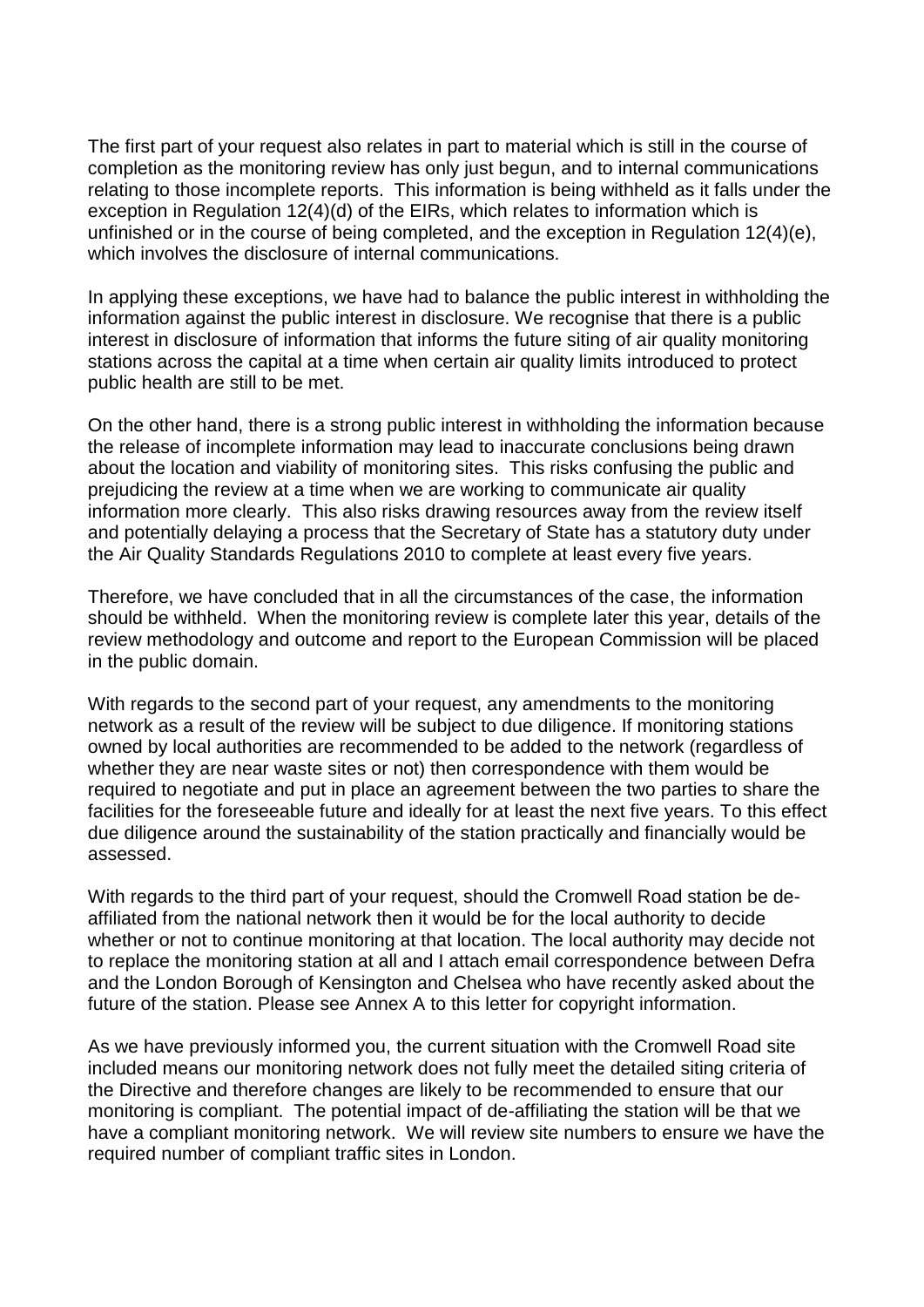The first part of your request also relates in part to material which is still in the course of completion as the monitoring review has only just begun, and to internal communications relating to those incomplete reports. This information is being withheld as it falls under the exception in Regulation 12(4)(d) of the EIRs, which relates to information which is unfinished or in the course of being completed, and the exception in Regulation 12(4)(e), which involves the disclosure of internal communications.

In applying these exceptions, we have had to balance the public interest in withholding the information against the public interest in disclosure. We recognise that there is a public interest in disclosure of information that informs the future siting of air quality monitoring stations across the capital at a time when certain air quality limits introduced to protect public health are still to be met.

On the other hand, there is a strong public interest in withholding the information because the release of incomplete information may lead to inaccurate conclusions being drawn about the location and viability of monitoring sites. This risks confusing the public and prejudicing the review at a time when we are working to communicate air quality information more clearly. This also risks drawing resources away from the review itself and potentially delaying a process that the Secretary of State has a statutory duty under the Air Quality Standards Regulations 2010 to complete at least every five years.

Therefore, we have concluded that in all the circumstances of the case, the information should be withheld. When the monitoring review is complete later this year, details of the review methodology and outcome and report to the European Commission will be placed in the public domain.

With regards to the second part of your request, any amendments to the monitoring network as a result of the review will be subject to due diligence. If monitoring stations owned by local authorities are recommended to be added to the network (regardless of whether they are near waste sites or not) then correspondence with them would be required to negotiate and put in place an agreement between the two parties to share the facilities for the foreseeable future and ideally for at least the next five years. To this effect due diligence around the sustainability of the station practically and financially would be assessed.

With regards to the third part of your request, should the Cromwell Road station be deaffiliated from the national network then it would be for the local authority to decide whether or not to continue monitoring at that location. The local authority may decide not to replace the monitoring station at all and I attach email correspondence between Defra and the London Borough of Kensington and Chelsea who have recently asked about the future of the station. Please see Annex A to this letter for copyright information.

As we have previously informed you, the current situation with the Cromwell Road site included means our monitoring network does not fully meet the detailed siting criteria of the Directive and therefore changes are likely to be recommended to ensure that our monitoring is compliant. The potential impact of de-affiliating the station will be that we have a compliant monitoring network. We will review site numbers to ensure we have the required number of compliant traffic sites in London.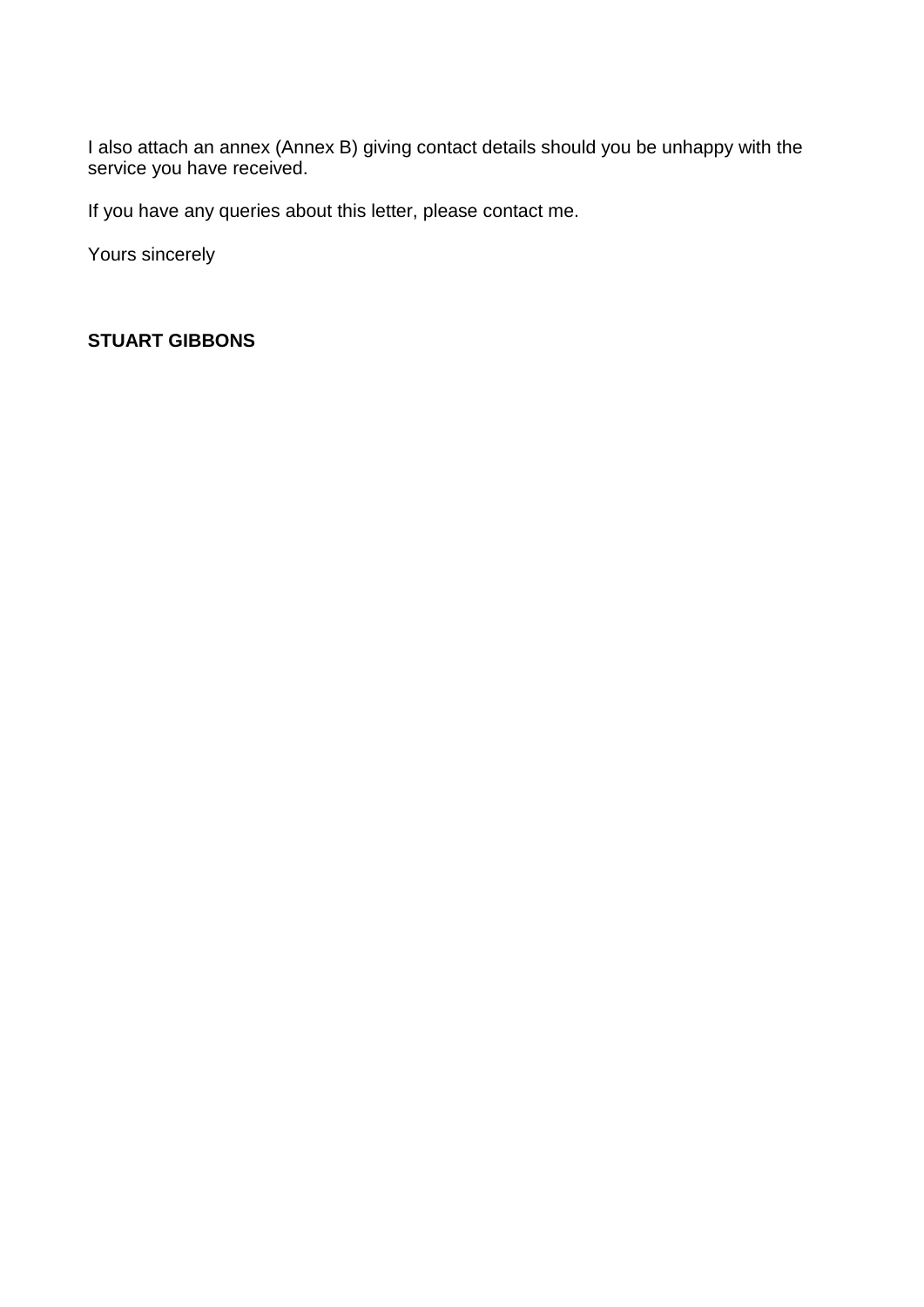I also attach an annex (Annex B) giving contact details should you be unhappy with the service you have received.

If you have any queries about this letter, please contact me.

Yours sincerely

#### **STUART GIBBONS**